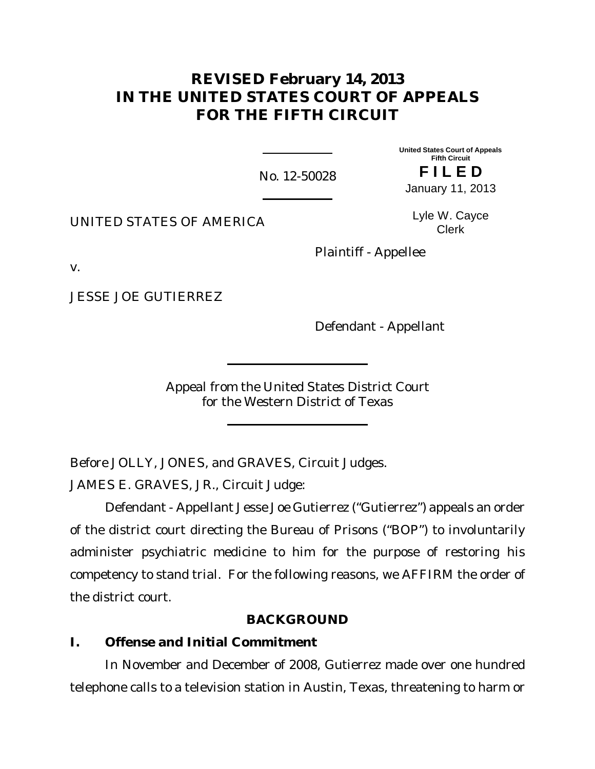# **REVISED February 14, 2013 IN THE UNITED STATES COURT OF APPEALS FOR THE FIFTH CIRCUIT**

No. 12-50028

**United States Court of Appeals Fifth Circuit F I L E D** January 11, 2013

UNITED STATES OF AMERICA

Lyle W. Cayce Clerk

Plaintiff - Appellee

v.

JESSE JOE GUTIERREZ

Defendant - Appellant

Appeal from the United States District Court for the Western District of Texas

Before JOLLY, JONES, and GRAVES, Circuit Judges.

JAMES E. GRAVES, JR., Circuit Judge:

Defendant - Appellant Jesse Joe Gutierrez ("Gutierrez") appeals an order of the district court directing the Bureau of Prisons ("BOP") to involuntarily administer psychiatric medicine to him for the purpose of restoring his competency to stand trial. For the following reasons, we AFFIRM the order of the district court.

## **BACKGROUND**

**I. Offense and Initial Commitment**

In November and December of 2008, Gutierrez made over one hundred telephone calls to a television station in Austin, Texas, threatening to harm or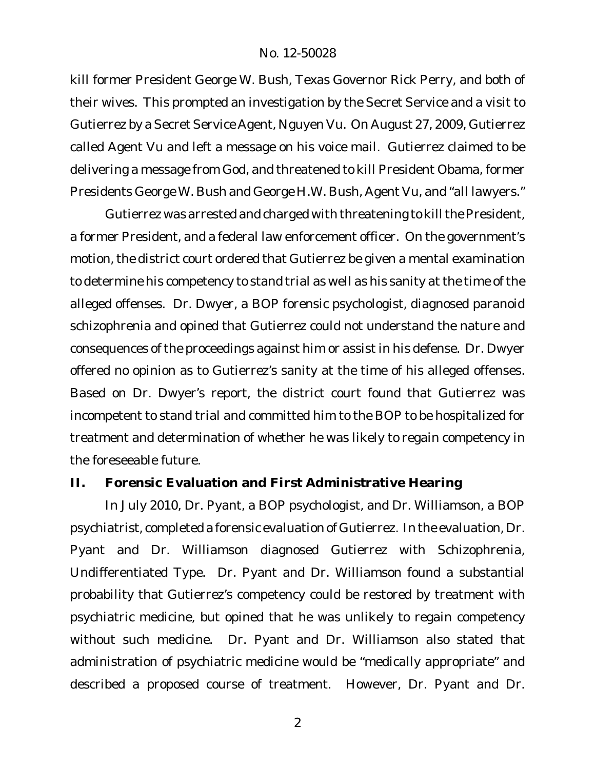kill former President George W. Bush, Texas Governor Rick Perry, and both of their wives. This prompted an investigation by the Secret Service and a visit to Gutierrez by a Secret Service Agent, Nguyen Vu. On August 27, 2009, Gutierrez called Agent Vu and left a message on his voice mail. Gutierrez claimed to be delivering a message from God, and threatened to kill President Obama, former Presidents George W. Bush and George H.W. Bush, Agent Vu, and "all lawyers."

Gutierrez was arrested and charged with threatening to kill the President, a former President, and a federal law enforcement officer. On the government's motion, the district court ordered that Gutierrez be given a mental examination to determine his competency to stand trial as well as his sanity at the time of the alleged offenses. Dr. Dwyer, a BOP forensic psychologist, diagnosed paranoid schizophrenia and opined that Gutierrez could not understand the nature and consequences of the proceedings against him or assist in his defense. Dr. Dwyer offered no opinion as to Gutierrez's sanity at the time of his alleged offenses. Based on Dr. Dwyer's report, the district court found that Gutierrez was incompetent to stand trial and committed him to the BOP to be hospitalized for treatment and determination of whether he was likely to regain competency in the foreseeable future.

#### **II. Forensic Evaluation and First Administrative Hearing**

In July 2010, Dr. Pyant, a BOP psychologist, and Dr. Williamson, a BOP psychiatrist, completed a forensic evaluation of Gutierrez. In the evaluation, Dr. Pyant and Dr. Williamson diagnosed Gutierrez with Schizophrenia, Undifferentiated Type. Dr. Pyant and Dr. Williamson found a substantial probability that Gutierrez's competency could be restored by treatment with psychiatric medicine, but opined that he was unlikely to regain competency without such medicine. Dr. Pyant and Dr. Williamson also stated that administration of psychiatric medicine would be "medically appropriate" and described a proposed course of treatment. However, Dr. Pyant and Dr.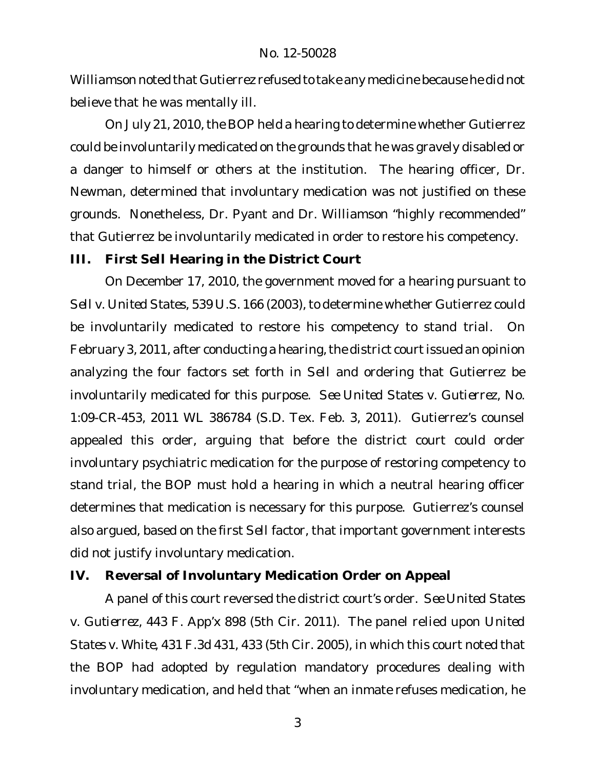Williamson noted that Gutierrez refused to take any medicine because he did not believe that he was mentally ill.

On July 21, 2010, the BOP held a hearing to determine whether Gutierrez could be involuntarily medicated on the grounds that he was gravely disabled or a danger to himself or others at the institution. The hearing officer, Dr. Newman, determined that involuntary medication was not justified on these grounds. Nonetheless, Dr. Pyant and Dr. Williamson "highly recommended" that Gutierrez be involuntarily medicated in order to restore his competency.

**III. First** *Sell* **Hearing in the District Court**

On December 17, 2010, the government moved for a hearing pursuant to *Sell v. United States*, 539 U.S. 166 (2003), to determine whether Gutierrez could be involuntarily medicated to restore his competency to stand trial. On February 3, 2011, after conducting a hearing, the district court issued an opinion analyzing the four factors set forth in *Sell* and ordering that Gutierrez be involuntarily medicated for this purpose. *See United States v. Gutierrez*, No. 1:09-CR-453, 2011 WL 386784 (S.D. Tex. Feb. 3, 2011). Gutierrez's counsel appealed this order, arguing that before the district court could order involuntary psychiatric medication for the purpose of restoring competency to stand trial, the BOP must hold a hearing in which a neutral hearing officer determines that medication is necessary for this purpose. Gutierrez's counsel also argued, based on the first *Sell* factor, that important government interests did not justify involuntary medication.

**IV. Reversal of Involuntary Medication Order on Appeal**

A panel of this court reversed the district court's order. *See United States v. Gutierrez*, 443 F. App'x 898 (5th Cir. 2011). The panel relied upon *United States v. White*, 431 F.3d 431, 433 (5th Cir. 2005), in which this court noted that the BOP had adopted by regulation mandatory procedures dealing with involuntary medication, and held that "when an inmate refuses medication, he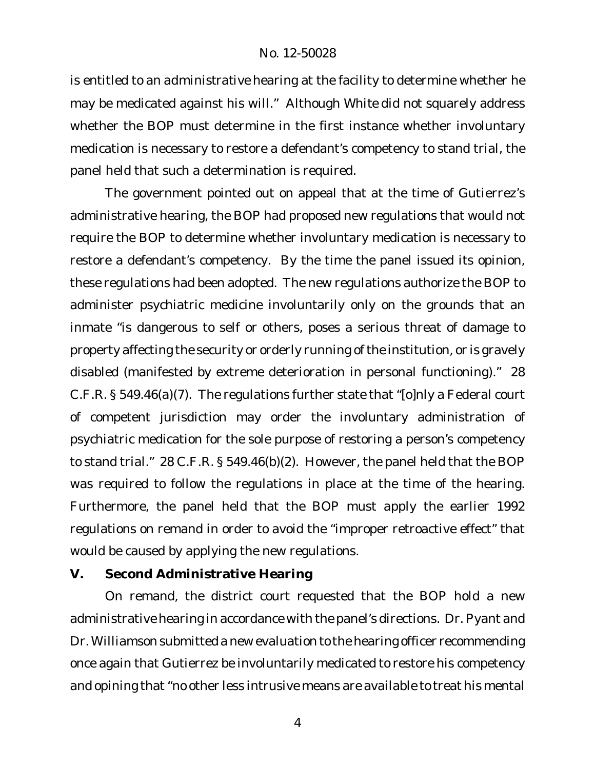is entitled to an *administrative* hearing at the facility to determine whether he may be medicated against his will." Although *White* did not squarely address whether the BOP must determine in the first instance whether involuntary medication is necessary to restore a defendant's competency to stand trial, the panel held that such a determination is required.

The government pointed out on appeal that at the time of Gutierrez's administrative hearing, the BOP had proposed new regulations that would not require the BOP to determine whether involuntary medication is necessary to restore a defendant's competency. By the time the panel issued its opinion, these regulations had been adopted. The new regulations authorize the BOP to administer psychiatric medicine involuntarily only on the grounds that an inmate "is dangerous to self or others, poses a serious threat of damage to property affecting the security or orderly running ofthe institution, or is gravely disabled (manifested by extreme deterioration in personal functioning)." 28 C.F.R. § 549.46(a)(7). The regulations further state that "[o]nly a Federal court of competent jurisdiction may order the involuntary administration of psychiatric medication for the sole purpose of restoring a person's competency to stand trial." 28 C.F.R. § 549.46(b)(2). However, the panel held that the BOP was required to follow the regulations in place at the time of the hearing. Furthermore, the panel held that the BOP must apply the earlier 1992 regulations on remand in order to avoid the "improper retroactive effect" that would be caused by applying the new regulations.

**V. Second Administrative Hearing**

On remand, the district court requested that the BOP hold a new administrative hearing in accordance with the panel's directions. Dr. Pyant and Dr. Williamson submitted a new evaluation to the hearing officer recommending once again that Gutierrez be involuntarily medicated to restore his competency and opining that "no other less intrusive means are available to treat his mental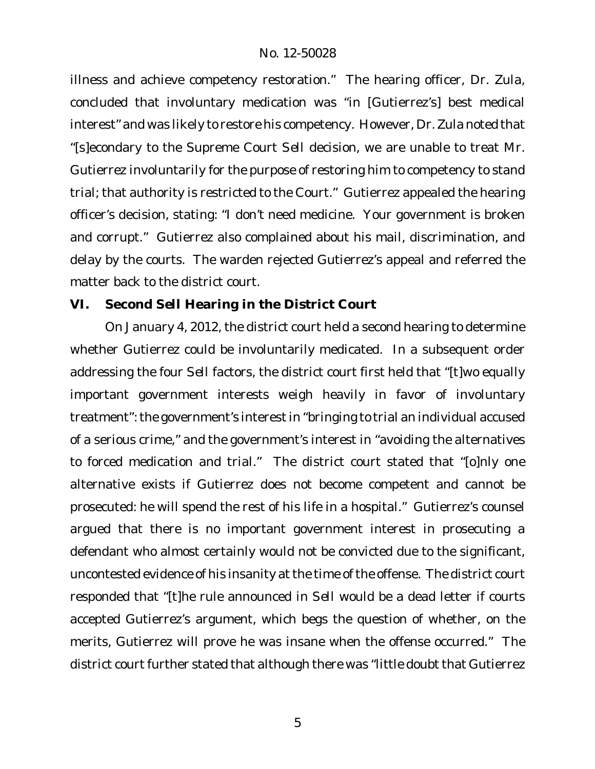illness and achieve competency restoration." The hearing officer, Dr. Zula, concluded that involuntary medication was "in [Gutierrez's] best medical interest" and was likely to restore his competency. However, Dr. Zula noted that "[s]econdary to the Supreme Court *Sell* decision, we are unable to treat Mr. Gutierrez involuntarily for the purpose of restoring him to competency to stand trial; that authority is restricted to the Court." Gutierrez appealed the hearing officer's decision, stating: "I don't need medicine. Your government is broken and corrupt." Gutierrez also complained about his mail, discrimination, and delay by the courts. The warden rejected Gutierrez's appeal and referred the matter back to the district court.

**VI. Second** *Sell* **Hearing in the District Court**

On January 4, 2012, the district court held a second hearing to determine whether Gutierrez could be involuntarily medicated. In a subsequent order addressing the four *Sell* factors, the district court first held that "[t]wo equally important government interests weigh heavily in favor of involuntary treatment": the government's interest in "bringing to trial an individual accused of a serious crime," and the government's interest in "avoiding the alternatives to forced medication and trial." The district court stated that "[o]nly one alternative exists if Gutierrez does not become competent and cannot be prosecuted: he will spend the rest of his life in a hospital." Gutierrez's counsel argued that there is no important government interest in prosecuting a defendant who almost certainly would not be convicted due to the significant, uncontested evidence of his insanity at the time of the offense. The district court responded that "[t]he rule announced in *Sell* would be a dead letter if courts accepted Gutierrez's argument, which begs the question of whether, on the merits, Gutierrez will prove he was insane when the offense occurred." The district court further stated that although there was "little doubt that Gutierrez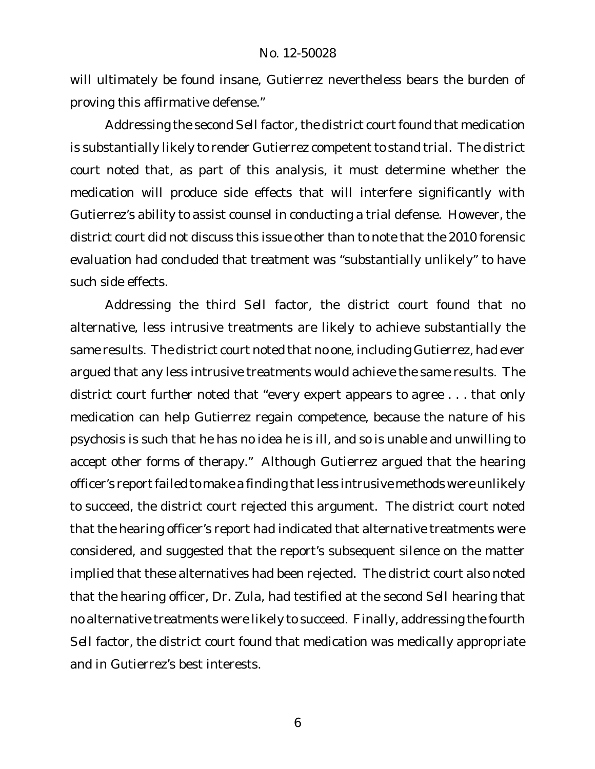will ultimately be found insane, Gutierrez nevertheless bears the burden of proving this affirmative defense."

Addressing the second Sell factor, the district court found that medication is substantially likely to render Gutierrez competent to stand trial. The district court noted that, as part of this analysis, it must determine whether the medication will produce side effects that will interfere significantly with Gutierrez's ability to assist counsel in conducting a trial defense. However, the district court did not discuss this issue other than to note that the 2010 forensic evaluation had concluded that treatment was "substantially unlikely" to have such side effects.

Addressing the third *Sell* factor, the district court found that no alternative, less intrusive treatments are likely to achieve substantially the same results. The district court noted that no one, including Gutierrez, had ever argued that any less intrusive treatments would achieve the same results. The district court further noted that "every expert appears to agree . . . that only medication can help Gutierrez regain competence, because the nature of his psychosis is such that he has no idea he is ill, and so is unable and unwilling to accept other forms of therapy." Although Gutierrez argued that the hearing officer's report failed to make a finding that less intrusive methods were unlikely to succeed, the district court rejected this argument. The district court noted that the hearing officer's report had indicated that alternative treatments were considered, and suggested that the report's subsequent silence on the matter implied that these alternatives had been rejected. The district court also noted that the hearing officer, Dr. Zula, had testified at the second *Sell* hearing that no alternative treatments were likely to succeed. Finally, addressing the fourth *Sell* factor, the district court found that medication was medically appropriate and in Gutierrez's best interests.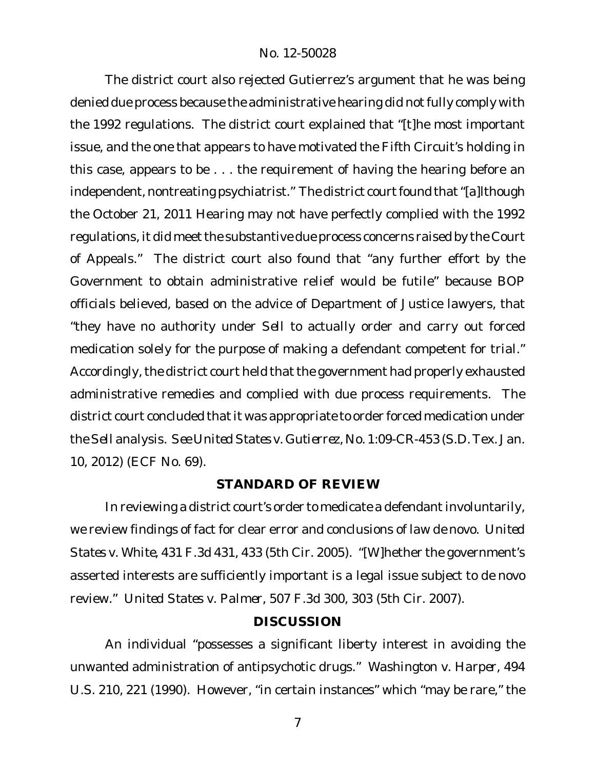The district court also rejected Gutierrez's argument that he was being denied due process because the administrative hearing did not fully comply with the 1992 regulations. The district court explained that "[t]he most important issue, and the one that appears to have motivated the Fifth Circuit's holding in this case, appears to be . . . the requirement of having the hearing before an independent, nontreating psychiatrist." The district court found that "[a]lthough the October 21, 2011 Hearing may not have perfectly complied with the 1992 regulations, it did meet the substantive due process concerns raised by the Court of Appeals." The district court also found that "any further effort by the Government to obtain administrative relief would be futile" because BOP officials believed, based on the advice of Department of Justice lawyers, that "they have no authority under *Sell* to actually order and carry out forced medication solely for the purpose of making a defendant competent for trial." Accordingly, the district court held that the government had properly exhausted administrative remedies and complied with due process requirements. The district court concluded that it was appropriate to order forced medication under the*Sell* analysis. *See UnitedStates v. Gutierrez*, No. 1:09-CR-453 (S.D.Tex. Jan. 10, 2012) (ECF No. 69).

#### **STANDARD OF REVIEW**

In reviewing a district court's order to medicate a defendant involuntarily, we review findings of fact for clear error and conclusions of law *de novo*. *United States v. White*, 431 F.3d 431, 433 (5th Cir. 2005). "[W]hether the government's asserted interests are sufficiently important is a legal issue subject to *de novo* review." *United States v. Palmer*, 507 F.3d 300, 303 (5th Cir. 2007).

#### **DISCUSSION**

An individual "possesses a significant liberty interest in avoiding the unwanted administration of antipsychotic drugs." *Washington v. Harper*, 494 U.S. 210, 221 (1990). However, "in certain instances" which "may be rare," the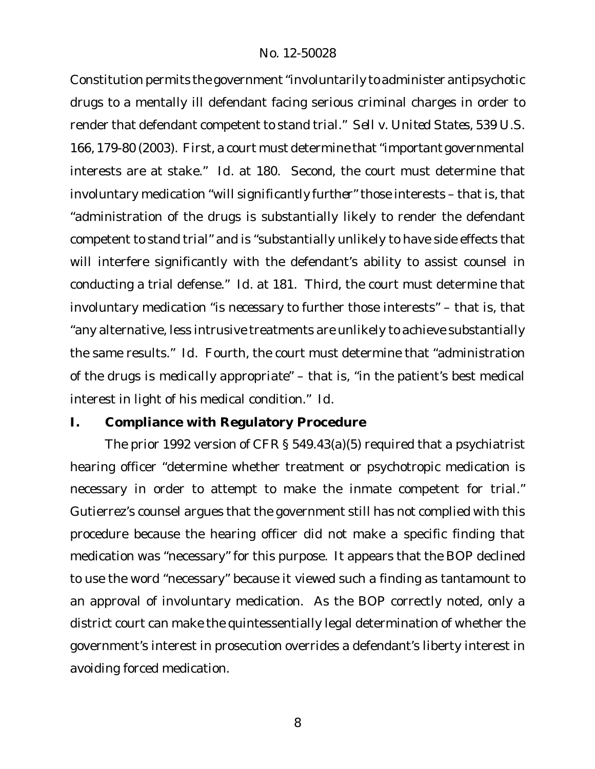Constitution permits the government "involuntarily to administer antipsychotic drugs to a mentally ill defendant facing serious criminal charges in order to render that defendant competent to stand trial." *Sell v. United States*, 539 U.S. 166, 179-80 (2003). First, a court must determine that "*important* governmental interests are at stake." *Id.* at 180. Second, the court must determine that involuntary medication "will *significantly further*" those interests – that is, that "administration of the drugs is substantially likely to render the defendant competent to stand trial" and is "substantially unlikely to have side effects that will interfere significantly with the defendant's ability to assist counsel in conducting a trial defense." *Id.* at 181. Third, the court must determine that involuntary medication "is *necessary* to further those interests" – that is, that "any alternative, less intrusive treatments are unlikely to achieve substantially the same results." *Id.* Fourth, the court must determine that "administration of the drugs is *medically appropriate*" – that is, "in the patient's best medical interest in light of his medical condition." *Id.*

## **I. Compliance with Regulatory Procedure**

The prior 1992 version of CFR § 549.43(a)(5) required that a psychiatrist hearing officer "determine whether treatment or psychotropic medication is necessary in order to attempt to make the inmate competent for trial." Gutierrez's counsel argues that the government still has not complied with this procedure because the hearing officer did not make a specific finding that medication was "necessary" for this purpose. It appears that the BOP declined to use the word "necessary" because it viewed such a finding as tantamount to an approval of involuntary medication. As the BOP correctly noted, only a district court can make the quintessentially legal determination of whether the government's interest in prosecution overrides a defendant's liberty interest in avoiding forced medication.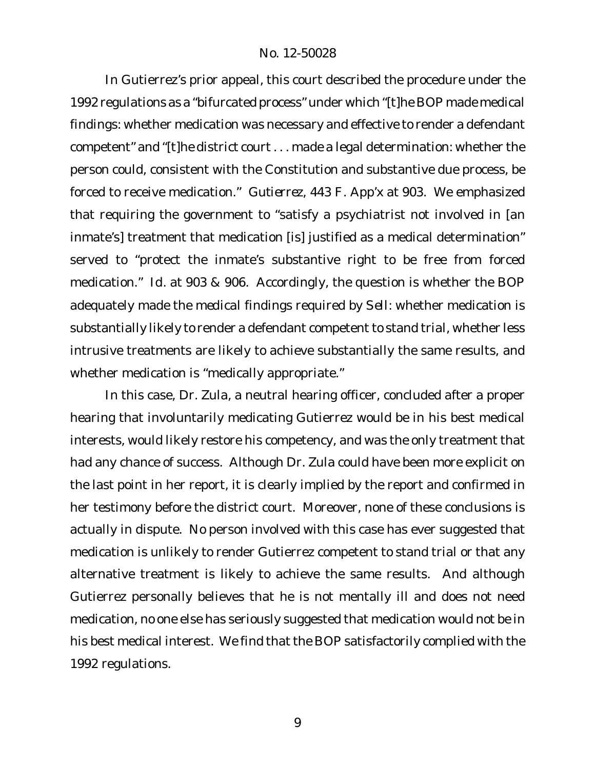In Gutierrez's prior appeal, this court described the procedure under the 1992 regulations as a "bifurcated process" under which "[t]he BOP made medical findings: whether medication was necessary and effective to render a defendant competent" and "[t]he district court . . . made a legal determination: whether the person could, consistent with the Constitution and substantive due process, be forced to receive medication." *Gutierrez*, 443 F. App'x at 903. We emphasized that requiring the government to "satisfy a psychiatrist not involved in [an inmate's] treatment that medication [is] justified as a medical determination" served to "protect the inmate's substantive right to be free from forced medication." *Id.* at 903 & 906. Accordingly, the question is whether the BOP adequately made the *medical* findings required by *Sell*: whether medication is substantially likely to render a defendant competent to stand trial, whether less intrusive treatments are likely to achieve substantially the same results, and whether medication is "medically appropriate."

In this case, Dr. Zula, a neutral hearing officer, concluded after a proper hearing that involuntarily medicating Gutierrez would be in his best medical interests, would likely restore his competency, and was the only treatment that had any chance of success. Although Dr. Zula could have been more explicit on the last point in her report, it is clearly implied by the report and confirmed in her testimony before the district court. Moreover, none of these conclusions is actually in dispute. No person involved with this case has ever suggested that medication is unlikely to render Gutierrez competent to stand trial or that any alternative treatment is likely to achieve the same results. And although Gutierrez personally believes that he is not mentally ill and does not need medication, no one else has seriously suggested that medication would not be in his best medical interest. We find that the BOP satisfactorily complied with the 1992 regulations.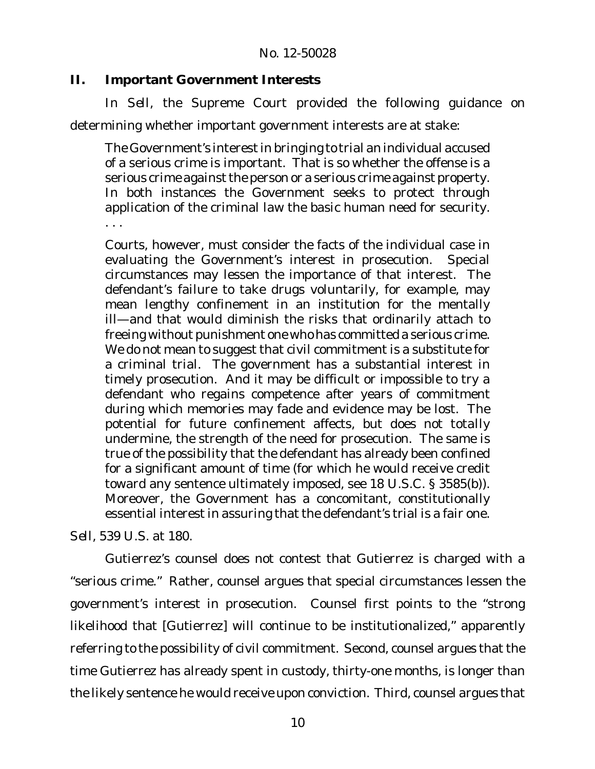**II. Important Government Interests**

In *Sell*, the Supreme Court provided the following guidance on determining whether important government interests are at stake:

The Government's interestin bringing to trial an individual accused of a serious crime is important. That is so whether the offense is a serious crime against the person or a serious crime against property. In both instances the Government seeks to protect through application of the criminal law the basic human need for security. . . .

Courts, however, must consider the facts of the individual case in evaluating the Government's interest in prosecution. Special circumstances may lessen the importance of that interest. The defendant's failure to take drugs voluntarily, for example, may mean lengthy confinement in an institution for the mentally ill—and that would diminish the risks that ordinarily attach to freeing without punishment one who has committed a serious crime. We do not mean to suggest that civil commitment is a substitute for a criminal trial. The government has a substantial interest in timely prosecution. And it may be difficult or impossible to try a defendant who regains competence after years of commitment during which memories may fade and evidence may be lost. The potential for future confinement affects, but does not totally undermine, the strength of the need for prosecution. The same is true of the possibility that the defendant has already been confined for a significant amount of time (for which he would receive credit toward any sentence ultimately imposed, see 18 U.S.C. § 3585(b)). Moreover, the Government has a concomitant, constitutionally essential interest in assuring that the defendant's trial is a fair one.

*Sell*, 539 U.S. at 180.

Gutierrez's counsel does not contest that Gutierrez is charged with a "serious crime." Rather, counsel argues that special circumstances lessen the government's interest in prosecution. Counsel first points to the "strong likelihood that [Gutierrez] will continue to be institutionalized," apparently referring to the possibility of civil commitment. Second, counsel argues that the time Gutierrez has already spent in custody, thirty-one months, is longer than the likely sentence he would receive upon conviction. Third, counsel argues that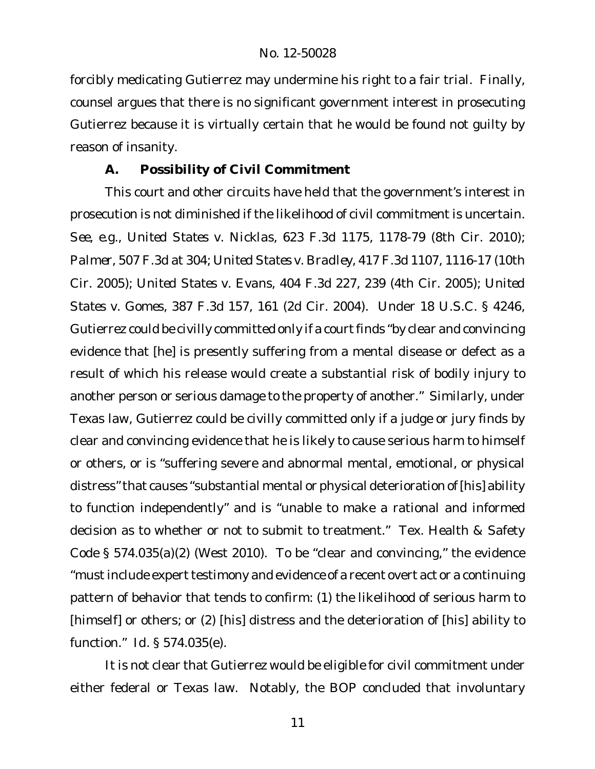forcibly medicating Gutierrez may undermine his right to a fair trial. Finally, counsel argues that there is no significant government interest in prosecuting Gutierrez because it is virtually certain that he would be found not guilty by reason of insanity.

# **A. Possibility of Civil Commitment**

This court and other circuits have held that the government's interest in prosecution is not diminished if the likelihood of civil commitment is uncertain. *See, e.g., United States v. Nicklas*, 623 F.3d 1175, 1178-79 (8th Cir. 2010); *Palmer*, 507 F.3d at 304; *United States v. Bradley*, 417 F.3d 1107, 1116-17 (10th Cir. 2005); *United States v. Evans*, 404 F.3d 227, 239 (4th Cir. 2005); *United States v. Gomes*, 387 F.3d 157, 161 (2d Cir. 2004). Under 18 U.S.C. § 4246, Gutierrez could be civilly committed only if a courtfinds "by clear and convincing evidence that [he] is presently suffering from a mental disease or defect as a result of which his release would create a substantial risk of bodily injury to another person or serious damage to the property of another." Similarly, under Texas law, Gutierrez could be civilly committed only if a judge or jury finds by clear and convincing evidence that he is likely to cause serious harm to himself or others, or is "suffering severe and abnormal mental, emotional, or physical distress"that causes "substantial mental or physical deterioration of [his] ability to function independently" and is "unable to make a rational and informed decision as to whether or not to submit to treatment." Tex. Health & Safety Code § 574.035(a)(2) (West 2010). To be "clear and convincing," the evidence "must include expert testimony and evidence of a recent overt act or a continuing pattern of behavior that tends to confirm: (1) the likelihood of serious harm to [himself] or others; or (2) [his] distress and the deterioration of [his] ability to function." *Id.* § 574.035(e).

It is not clear that Gutierrez would be eligible for civil commitment under either federal or Texas law. Notably, the BOP concluded that involuntary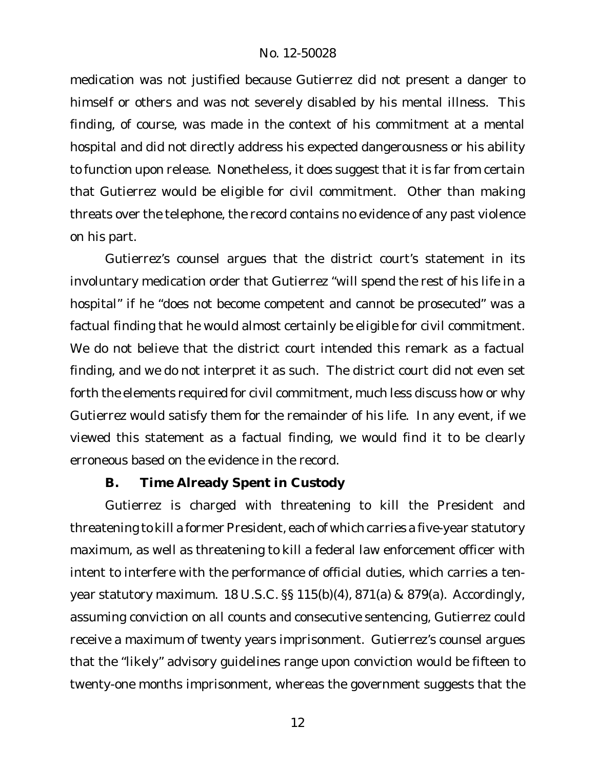medication was not justified because Gutierrez did not present a danger to himself or others and was not severely disabled by his mental illness. This finding, of course, was made in the context of his commitment at a mental hospital and did not directly address his expected dangerousness or his ability to function upon release. Nonetheless, it does suggest that it is far from certain that Gutierrez would be eligible for civil commitment. Other than making threats over the telephone, the record contains no evidence of any past violence on his part.

Gutierrez's counsel argues that the district court's statement in its involuntary medication order that Gutierrez "will spend the rest of his life in a hospital" if he "does not become competent and cannot be prosecuted" was a factual finding that he would almost certainly be eligible for civil commitment. We do not believe that the district court intended this remark as a factual finding, and we do not interpret it as such. The district court did not even set forth the elements required for civil commitment, much less discuss how or why Gutierrez would satisfy them for the remainder of his life. In any event, if we viewed this statement as a factual finding, we would find it to be clearly erroneous based on the evidence in the record.

#### **B. Time Already Spent in Custody**

Gutierrez is charged with threatening to kill the President and threatening to kill a former President, each of which carries a five-year statutory maximum, as well as threatening to kill a federal law enforcement officer with intent to interfere with the performance of official duties, which carries a tenyear statutory maximum. 18 U.S.C. §§ 115(b)(4), 871(a) & 879(a). Accordingly, assuming conviction on all counts and consecutive sentencing, Gutierrez could receive a maximum of twenty years imprisonment. Gutierrez's counsel argues that the "likely" advisory guidelines range upon conviction would be fifteen to twenty-one months imprisonment, whereas the government suggests that the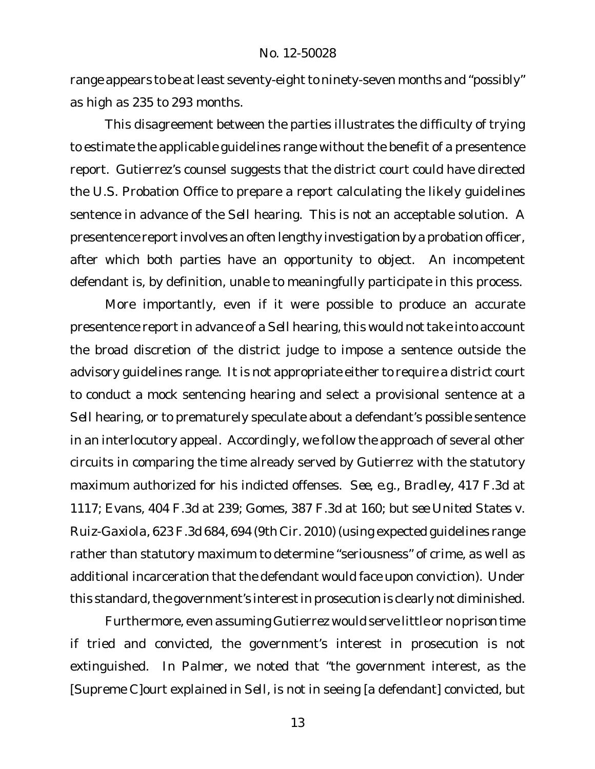range appears to be at least seventy-eight to ninety-seven months and "possibly" as high as 235 to 293 months.

This disagreement between the parties illustrates the difficulty of trying to estimate the applicable guidelines range without the benefit of a presentence report. Gutierrez's counsel suggests that the district court could have directed the U.S. Probation Office to prepare a report calculating the likely guidelines sentence in advance of the *Sell* hearing. This is not an acceptable solution. A presentence report involves an often lengthy investigation by a probation officer, after which both parties have an opportunity to object. An incompetent defendant is, by definition, unable to meaningfully participate in this process.

More importantly, even if it were possible to produce an accurate presentence report in advance of a Sell hearing, this would not take into account the broad discretion of the district judge to impose a sentence outside the advisory guidelines range. It is not appropriate either to require a district court to conduct a mock sentencing hearing and select a provisional sentence at a *Sell* hearing, or to prematurely speculate about a defendant's possible sentence in an interlocutory appeal. Accordingly, we follow the approach of several other circuits in comparing the time already served by Gutierrez with the statutory maximum authorized for his indicted offenses. *See, e.g., Bradley*, 417 F.3d at 1117; *Evans*, 404 F.3d at 239; *Gomes*, 387 F.3d at 160; *but see United States v. Ruiz-Gaxiola*, 623 F.3d 684, 694 (9th Cir. 2010) (using expected guidelines range rather than statutory maximum to determine "seriousness" of crime, as well as additional incarceration that the defendant would face upon conviction). Under this standard, the government's interest in prosecution is clearly not diminished.

Furthermore, even assuming Gutierrez would serve little or no prison time if tried and convicted, the government's interest in prosecution is not extinguished. In *Palmer*, we noted that "the government interest, as the [Supreme C]ourt explained in *Sell*, is not in seeing [a defendant] convicted, but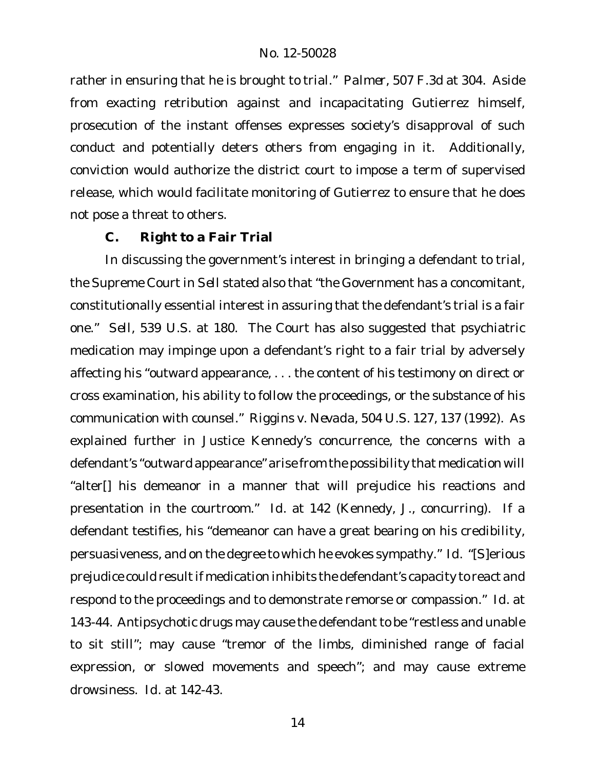rather in ensuring that he is brought to trial." *Palmer*, 507 F.3d at 304. Aside from exacting retribution against and incapacitating Gutierrez himself, prosecution of the instant offenses expresses society's disapproval of such conduct and potentially deters others from engaging in it. Additionally, conviction would authorize the district court to impose a term of supervised release, which would facilitate monitoring of Gutierrez to ensure that he does not pose a threat to others.

## **C. Right to a Fair Trial**

In discussing the government's interest in bringing a defendant to trial, the Supreme Court in *Sell* stated also that "the Government has a concomitant, constitutionally essential interest in assuring that the defendant's trial is a fair one." *Sell*, 539 U.S. at 180. The Court has also suggested that psychiatric medication may impinge upon a defendant's right to a fair trial by adversely affecting his "outward appearance, . . . the content of his testimony on direct or cross examination, his ability to follow the proceedings, or the substance of his communication with counsel." *Riggins v. Nevada*, 504 U.S. 127, 137 (1992). As explained further in Justice Kennedy's concurrence, the concerns with a defendant's "outward appearance" arise from the possibility that medication will "alter[] his demeanor in a manner that will prejudice his reactions and presentation in the courtroom." *Id.* at 142 (Kennedy, J., concurring). If a defendant testifies, his "demeanor can have a great bearing on his credibility, persuasiveness, and on the degree to which he evokes sympathy." *Id.* "[S]erious prejudice could result if medication inhibits the defendant's capacity to react and respond to the proceedings and to demonstrate remorse or compassion." *Id.* at 143-44. Antipsychotic drugs may cause the defendant to be "restless and unable to sit still"; may cause "tremor of the limbs, diminished range of facial expression, or slowed movements and speech"; and may cause extreme drowsiness. *Id.* at 142-43.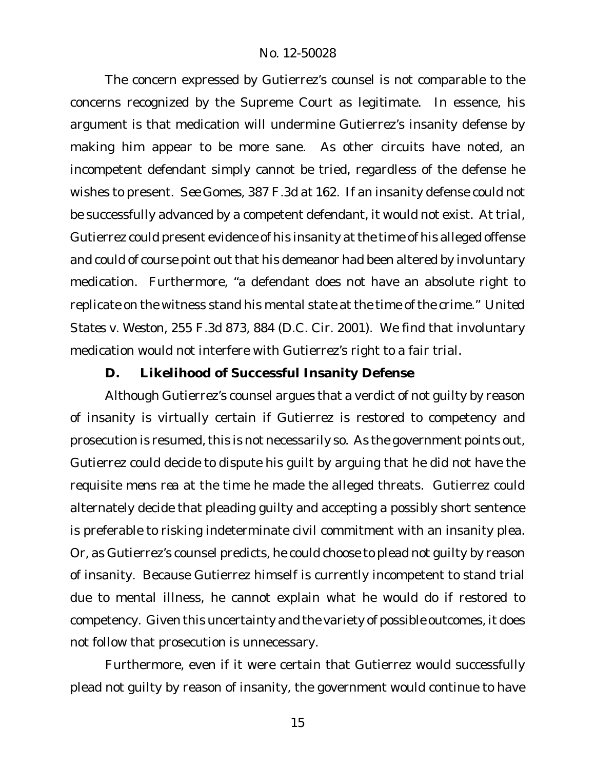The concern expressed by Gutierrez's counsel is not comparable to the concerns recognized by the Supreme Court as legitimate. In essence, his argument is that medication will undermine Gutierrez's insanity defense by making him appear to be more sane. As other circuits have noted, an incompetent defendant simply cannot be tried, regardless of the defense he wishes to present. *See Gomes*, 387 F.3d at 162. If an insanity defense could not be successfully advanced by a competent defendant, it would not exist. At trial, Gutierrez could present evidence of his insanity atthe time of his alleged offense and could of course point out that his demeanor had been altered by involuntary medication. Furthermore, "a defendant does not have an absolute right to replicate on the witness stand his mental state at the time of the crime." *United States v. Weston*, 255 F.3d 873, 884 (D.C. Cir. 2001). We find that involuntary medication would not interfere with Gutierrez's right to a fair trial.

### **D. Likelihood of Successful Insanity Defense**

Although Gutierrez's counsel argues that a verdict of not guilty by reason of insanity is virtually certain if Gutierrez is restored to competency and prosecution is resumed, this is not necessarily so. As the government points out, Gutierrez could decide to dispute his guilt by arguing that he did not have the requisite *mens rea* at the time he made the alleged threats. Gutierrez could alternately decide that pleading guilty and accepting a possibly short sentence is preferable to risking indeterminate civil commitment with an insanity plea. Or, as Gutierrez's counsel predicts, he could choose to plead not guilty by reason of insanity. Because Gutierrez himself is currently incompetent to stand trial due to mental illness, he cannot explain what he would do if restored to competency. Given this uncertainty and the variety of possible outcomes, it does not follow that prosecution is unnecessary.

Furthermore, even if it were certain that Gutierrez would successfully plead not guilty by reason of insanity, the government would continue to have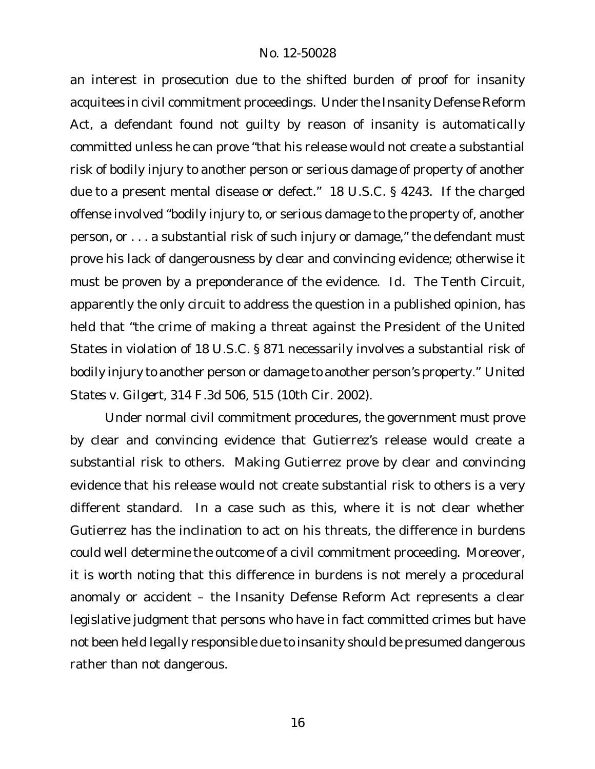an interest in prosecution due to the shifted burden of proof for insanity acquitees in civil commitment proceedings. Under the Insanity Defense Reform Act, a defendant found not guilty by reason of insanity is automatically committed unless he can prove "that his release would not create a substantial risk of bodily injury to another person or serious damage of property of another due to a present mental disease or defect." 18 U.S.C. § 4243. If the charged offense involved "bodily injury to, or serious damage to the property of, another person, or . . . a substantial risk of such injury or damage," the defendant must prove his lack of dangerousness by clear and convincing evidence; otherwise it must be proven by a preponderance of the evidence. *Id.* The Tenth Circuit, apparently the only circuit to address the question in a published opinion, has held that "the crime of making a threat against the President of the United States in violation of 18 U.S.C. § 871 necessarily involves a substantial risk of bodily injury to another person or damage to another person's property." *United States v. Gilgert*, 314 F.3d 506, 515 (10th Cir. 2002).

Under normal civil commitment procedures, the government must prove by clear and convincing evidence that Gutierrez's release would create a substantial risk to others. Making Gutierrez prove by clear and convincing evidence that his release would *not* create substantial risk to others is a very different standard. In a case such as this, where it is not clear whether Gutierrez has the inclination to act on his threats, the difference in burdens could well determine the outcome of a civil commitment proceeding. Moreover, it is worth noting that this difference in burdens is not merely a procedural anomaly or accident – the Insanity Defense Reform Act represents a clear legislative judgment that persons who have in fact committed crimes but have not been held legally responsible due to insanity should be presumed dangerous rather than not dangerous.